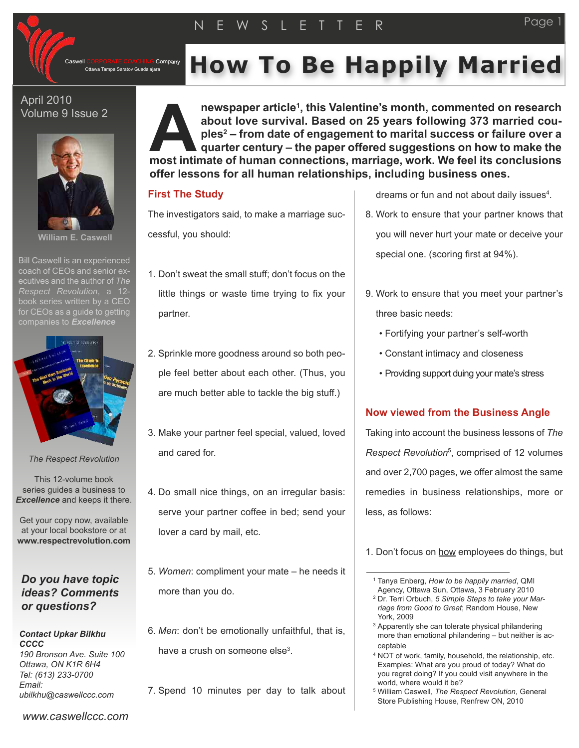

#### April 2010 Volume 9 Issue 2



**William E. Caswell**

Bill Caswell is an experienced coach of CEOs and senior executives and the author of *The Respect Revolution*, a 12 book series written by a CEO for CEOs as a quide to getting companies to *Excellence*



*The Respect Revolution*

This 12-volume book series guides a business to *Excellence* and keeps it there.

Get your copy now, available at your local bookstore or at **www.respectrevolution.com**

# *Do you have topic ideas? Comments or questions?*

#### *Contact Upkar Bilkhu CCCC 190 Bronson Ave. Suite 100*

*Ottawa, ON K1R 6H4 Tel: (613) 233-0700 Email: ubilkhu@caswellccc.com*

Company **ECRPORATE COACHING Company How To Be Happily Married** 

**newspaper article1, this Valentine's month, commented on research about love survival. Based on 25 years following 373 married couples2 – from date of engagement to marital success or failure over a quarter century – the paper offered suggestions on how to make the example 1 interpretent about love survival. Based on 25 years following 373 married couples<sup>2</sup> – from date of engagement to marital success or failure over a quarter century – the paper offered suggestions on how to mak offer lessons for all human relationships, including business ones.**

## **First The Study**

The investigators said, to make a marriage successful, you should:

- 1. Don't sweat the small stuff; don't focus on the little things or waste time trying to fix your partner.
- 2. Sprinkle more goodness around so both people feel better about each other. (Thus, you are much better able to tackle the big stuff.)
- 3. Make your partner feel special, valued, loved and cared for.
- 4. Do small nice things, on an irregular basis: serve your partner coffee in bed; send your lover a card by mail, etc.
- 5. *Women*: compliment your mate he needs it more than you do.
- 6. *Men*: don't be emotionally unfaithful, that is, have a crush on someone else<sup>3</sup>.
- 7. Spend 10 minutes per day to talk about

dreams or fun and not about daily issues<sup>4</sup>.

- 8. Work to ensure that your partner knows that you will never hurt your mate or deceive your special one. (scoring first at 94%).
- 9. Work to ensure that you meet your partner's three basic needs:
	- Fortifying your partner's self-worth
	- Constant intimacy and closeness
	- Providing support duing your mate's stress

## **Now viewed from the Business Angle**

Taking into account the business lessons of *The Respect Revolution*5, comprised of 12 volumes and over 2,700 pages, we offer almost the same remedies in business relationships, more or less, as follows:

- <sup>2</sup> Dr. Terri Orbuch, *5 Simple Steps to take your Marriage from Good to Great*; Random House, New York, 2009
- <sup>3</sup> Apparently she can tolerate physical philandering more than emotional philandering – but neither is acceptable
- <sup>4</sup> NOT of work, family, household, the relationship, etc. Examples: What are you proud of today? What do you regret doing? If you could visit anywhere in the world, where would it be?

*www.caswellccc.com*

<sup>1.</sup> Don't focus on how employees do things, but

<sup>1</sup> Tanya Enberg, *How to be happily married*, QMI Agency, Ottawa Sun, Ottawa, 3 February 2010

<sup>5</sup> William Caswell, *The Respect Revolution*, General Store Publishing House, Renfrew ON, 2010